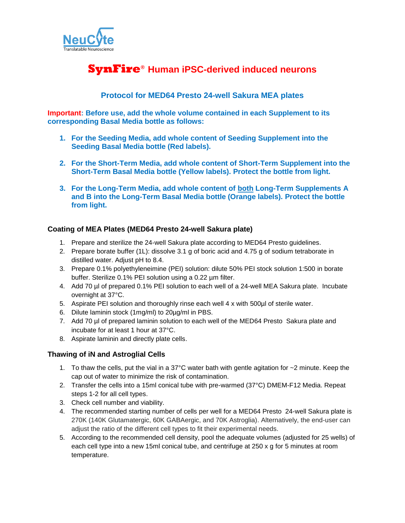

# **SynFire® Human iPSC-derived induced neurons**

## **Protocol for MED64 Presto 24-well Sakura MEA plates**

**Important: Before use, add the whole volume contained in each Supplement to its corresponding Basal Media bottle as follows:**

- **1. For the Seeding Media, add whole content of Seeding Supplement into the Seeding Basal Media bottle (Red labels).**
- **2. For the Short-Term Media, add whole content of Short-Term Supplement into the Short-Term Basal Media bottle (Yellow labels). Protect the bottle from light.**
- **3. For the Long-Term Media, add whole content of both Long-Term Supplements A and B into the Long-Term Basal Media bottle (Orange labels). Protect the bottle from light.**

## **Coating of MEA Plates (MED64 Presto 24-well Sakura plate)**

- 1. Prepare and sterilize the 24-well Sakura plate according to MED64 Presto guidelines.
- 2. Prepare borate buffer (1L): dissolve 3.1 g of boric acid and 4.75 g of sodium tetraborate in distilled water. Adjust pH to 8.4.
- 3. Prepare 0.1% polyethyleneimine (PEI) solution: dilute 50% PEI stock solution 1:500 in borate buffer. Sterilize 0.1% PEI solution using a 0.22 µm filter.
- 4. Add 70 µl of prepared 0.1% PEI solution to each well of a 24-well MEA Sakura plate. Incubate overnight at 37°C.
- 5. Aspirate PEI solution and thoroughly rinse each well 4 x with 500µl of sterile water.
- 6. Dilute laminin stock (1mg/ml) to 20µg/ml in PBS.
- 7. Add 70 µl of prepared laminin solution to each well of the MED64 Presto Sakura plate and incubate for at least 1 hour at 37°C.
- 8. Aspirate laminin and directly plate cells.

## **Thawing of iN and Astroglial Cells**

- 1. To thaw the cells, put the vial in a 37 $\degree$ C water bath with gentle agitation for  $\degree$ 2 minute. Keep the cap out of water to minimize the risk of contamination.
- 2. Transfer the cells into a 15ml conical tube with pre-warmed (37°C) DMEM-F12 Media. Repeat steps 1-2 for all cell types.
- 3. Check cell number and viability.
- 4. The recommended starting number of cells per well for a MED64 Presto 24-well Sakura plate is 270K (140K Glutamatergic, 60K GABAergic, and 70K Astroglia). Alternatively, the end-user can adjust the ratio of the different cell types to fit their experimental needs.
- 5. According to the recommended cell density, pool the adequate volumes (adjusted for 25 wells) of each cell type into a new 15ml conical tube, and centrifuge at 250 x g for 5 minutes at room temperature.